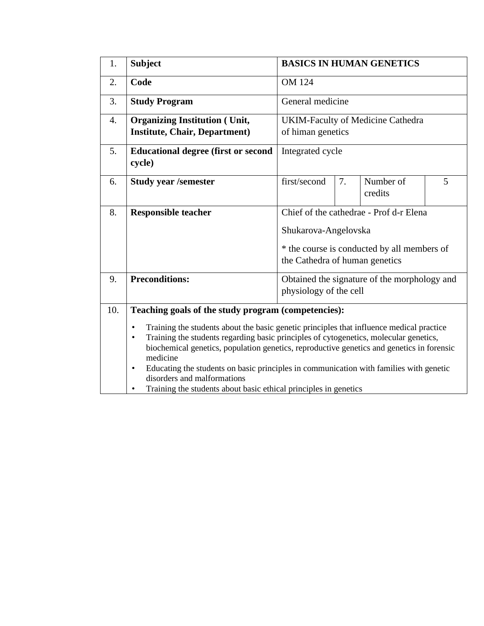| 1.  | <b>Subject</b>                                                                                                                                                                                                                                                                                                                                                                                                                                                                                                                                                                        | <b>BASICS IN HUMAN GENETICS</b>                                                                                                                  |    |                      |   |  |
|-----|---------------------------------------------------------------------------------------------------------------------------------------------------------------------------------------------------------------------------------------------------------------------------------------------------------------------------------------------------------------------------------------------------------------------------------------------------------------------------------------------------------------------------------------------------------------------------------------|--------------------------------------------------------------------------------------------------------------------------------------------------|----|----------------------|---|--|
| 2.  | Code                                                                                                                                                                                                                                                                                                                                                                                                                                                                                                                                                                                  | <b>OM 124</b>                                                                                                                                    |    |                      |   |  |
| 3.  | <b>Study Program</b>                                                                                                                                                                                                                                                                                                                                                                                                                                                                                                                                                                  | General medicine                                                                                                                                 |    |                      |   |  |
| 4.  | <b>Organizing Institution (Unit,</b><br><b>Institute, Chair, Department)</b>                                                                                                                                                                                                                                                                                                                                                                                                                                                                                                          | <b>UKIM-Faculty of Medicine Cathedra</b><br>of himan genetics                                                                                    |    |                      |   |  |
| 5.  | <b>Educational degree (first or second</b><br>cycle)                                                                                                                                                                                                                                                                                                                                                                                                                                                                                                                                  | Integrated cycle                                                                                                                                 |    |                      |   |  |
| 6.  | <b>Study year /semester</b>                                                                                                                                                                                                                                                                                                                                                                                                                                                                                                                                                           | first/second                                                                                                                                     | 7. | Number of<br>credits | 5 |  |
| 8.  | <b>Responsible teacher</b>                                                                                                                                                                                                                                                                                                                                                                                                                                                                                                                                                            | Chief of the cathedrae - Prof d-r Elena<br>Shukarova-Angelovska<br>* the course is conducted by all members of<br>the Cathedra of human genetics |    |                      |   |  |
| 9.  | <b>Preconditions:</b>                                                                                                                                                                                                                                                                                                                                                                                                                                                                                                                                                                 | Obtained the signature of the morphology and<br>physiology of the cell                                                                           |    |                      |   |  |
| 10. | Teaching goals of the study program (competencies):<br>Training the students about the basic genetic principles that influence medical practice<br>$\bullet$<br>Training the students regarding basic principles of cytogenetics, molecular genetics,<br>$\bullet$<br>biochemical genetics, population genetics, reproductive genetics and genetics in forensic<br>medicine<br>Educating the students on basic principles in communication with families with genetic<br>$\bullet$<br>disorders and malformations<br>Training the students about basic ethical principles in genetics |                                                                                                                                                  |    |                      |   |  |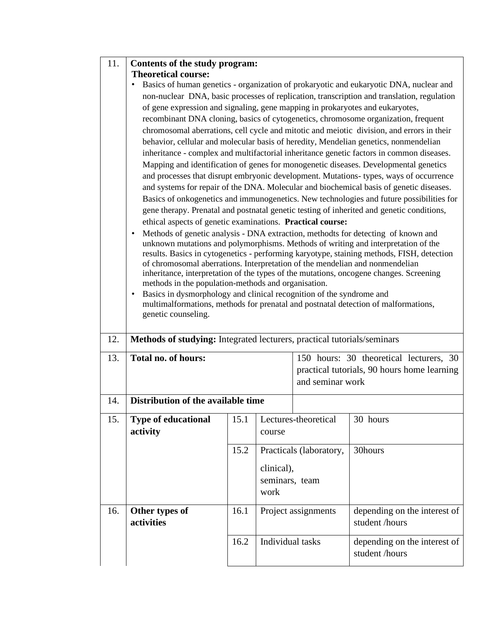| 11. | Contents of the study program:                                                                                                                                                                                                                                                                                                                                                                                                                                                                                                                                                                                                                                                                                                                                                                                                                                                                                                                                                                                                                                                                                                                                                                                                                                                                                                                                                                                                                                                                                                                                                                                                                                                                                                                                                                                                                                                                                                        |              |                                                                                                   |                                                                                                            |                                                |  |  |  |
|-----|---------------------------------------------------------------------------------------------------------------------------------------------------------------------------------------------------------------------------------------------------------------------------------------------------------------------------------------------------------------------------------------------------------------------------------------------------------------------------------------------------------------------------------------------------------------------------------------------------------------------------------------------------------------------------------------------------------------------------------------------------------------------------------------------------------------------------------------------------------------------------------------------------------------------------------------------------------------------------------------------------------------------------------------------------------------------------------------------------------------------------------------------------------------------------------------------------------------------------------------------------------------------------------------------------------------------------------------------------------------------------------------------------------------------------------------------------------------------------------------------------------------------------------------------------------------------------------------------------------------------------------------------------------------------------------------------------------------------------------------------------------------------------------------------------------------------------------------------------------------------------------------------------------------------------------------|--------------|---------------------------------------------------------------------------------------------------|------------------------------------------------------------------------------------------------------------|------------------------------------------------|--|--|--|
|     | <b>Theoretical course:</b><br>Basics of human genetics - organization of prokaryotic and eukaryotic DNA, nuclear and<br>non-nuclear DNA, basic processes of replication, transcription and translation, regulation<br>of gene expression and signaling, gene mapping in prokaryotes and eukaryotes,<br>recombinant DNA cloning, basics of cytogenetics, chromosome organization, frequent<br>chromosomal aberrations, cell cycle and mitotic and meiotic division, and errors in their<br>behavior, cellular and molecular basis of heredity, Mendelian genetics, nonmendelian<br>inheritance - complex and multifactorial inheritance genetic factors in common diseases.<br>Mapping and identification of genes for monogenetic diseases. Developmental genetics<br>and processes that disrupt embryonic development. Mutations- types, ways of occurrence<br>and systems for repair of the DNA. Molecular and biochemical basis of genetic diseases.<br>Basics of onkogenetics and immunogenetics. New technologies and future possibilities for<br>gene therapy. Prenatal and postnatal genetic testing of inherited and genetic conditions,<br>ethical aspects of genetic examinations. Practical course:<br>Methods of genetic analysis - DNA extraction, methodts for detecting of known and<br>$\bullet$<br>unknown mutations and polymorphisms. Methods of writing and interpretation of the<br>results. Basics in cytogenetics - performing karyotype, staining methods, FISH, detection<br>of chromosomal aberrations. Interpretation of the mendelian and nonmendelian<br>inheritance, interpretation of the types of the mutations, oncogene changes. Screening<br>methods in the population-methods and organisation.<br>Basics in dysmorphology and clinical recognition of the syndrome and<br>$\bullet$<br>multimalformations, methods for prenatal and postnatal detection of malformations,<br>genetic counseling. |              |                                                                                                   |                                                                                                            |                                                |  |  |  |
| 12. | Methods of studying: Integrated lecturers, practical tutorials/seminars                                                                                                                                                                                                                                                                                                                                                                                                                                                                                                                                                                                                                                                                                                                                                                                                                                                                                                                                                                                                                                                                                                                                                                                                                                                                                                                                                                                                                                                                                                                                                                                                                                                                                                                                                                                                                                                               |              |                                                                                                   |                                                                                                            |                                                |  |  |  |
| 13. | Total no. of hours:                                                                                                                                                                                                                                                                                                                                                                                                                                                                                                                                                                                                                                                                                                                                                                                                                                                                                                                                                                                                                                                                                                                                                                                                                                                                                                                                                                                                                                                                                                                                                                                                                                                                                                                                                                                                                                                                                                                   |              |                                                                                                   | 150 hours: 30 theoretical lecturers, 30<br>practical tutorials, 90 hours home learning<br>and seminar work |                                                |  |  |  |
| 14. | Distribution of the available time                                                                                                                                                                                                                                                                                                                                                                                                                                                                                                                                                                                                                                                                                                                                                                                                                                                                                                                                                                                                                                                                                                                                                                                                                                                                                                                                                                                                                                                                                                                                                                                                                                                                                                                                                                                                                                                                                                    |              |                                                                                                   |                                                                                                            |                                                |  |  |  |
| 15. | <b>Type of educational</b><br>activity                                                                                                                                                                                                                                                                                                                                                                                                                                                                                                                                                                                                                                                                                                                                                                                                                                                                                                                                                                                                                                                                                                                                                                                                                                                                                                                                                                                                                                                                                                                                                                                                                                                                                                                                                                                                                                                                                                | 15.1<br>15.2 | Lectures-theoretical<br>course<br>Practicals (laboratory,<br>clinical),<br>seminars, team<br>work |                                                                                                            | 30 hours<br>30hours                            |  |  |  |
| 16. | Other types of<br>activities                                                                                                                                                                                                                                                                                                                                                                                                                                                                                                                                                                                                                                                                                                                                                                                                                                                                                                                                                                                                                                                                                                                                                                                                                                                                                                                                                                                                                                                                                                                                                                                                                                                                                                                                                                                                                                                                                                          | 16.1         | Project assignments                                                                               |                                                                                                            | depending on the interest of<br>student /hours |  |  |  |
|     |                                                                                                                                                                                                                                                                                                                                                                                                                                                                                                                                                                                                                                                                                                                                                                                                                                                                                                                                                                                                                                                                                                                                                                                                                                                                                                                                                                                                                                                                                                                                                                                                                                                                                                                                                                                                                                                                                                                                       | 16.2         | Individual tasks                                                                                  |                                                                                                            | depending on the interest of<br>student /hours |  |  |  |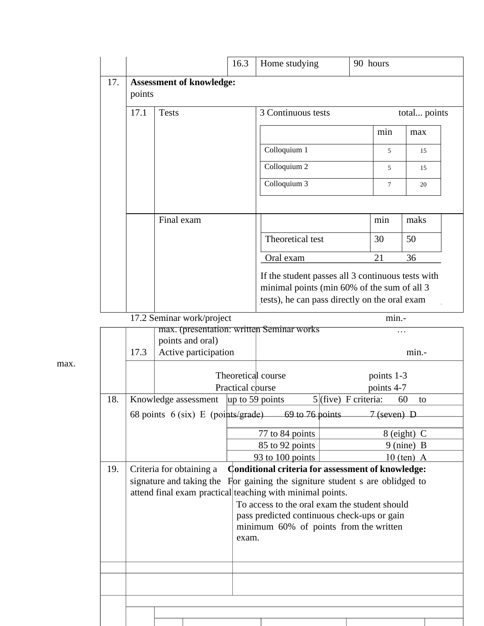| 17. |                                                                    |                                                               | 16.3             | Home studying                                                                                                                                     | 90 hours                 |                            |  |  |
|-----|--------------------------------------------------------------------|---------------------------------------------------------------|------------------|---------------------------------------------------------------------------------------------------------------------------------------------------|--------------------------|----------------------------|--|--|
|     | <b>Assessment of knowledge:</b><br>points                          |                                                               |                  |                                                                                                                                                   |                          |                            |  |  |
|     | 17.1<br><b>Tests</b>                                               |                                                               |                  | 3 Continuous tests<br>total points                                                                                                                |                          |                            |  |  |
|     |                                                                    |                                                               |                  |                                                                                                                                                   | min                      | max                        |  |  |
|     |                                                                    |                                                               |                  | Colloquium 1                                                                                                                                      | 5                        | 15                         |  |  |
|     |                                                                    |                                                               |                  | Colloquium 2                                                                                                                                      | 5                        | 15                         |  |  |
|     |                                                                    |                                                               |                  | Colloquium 3                                                                                                                                      | $\tau$                   | 20                         |  |  |
|     | Final exam                                                         |                                                               |                  |                                                                                                                                                   | min                      | maks                       |  |  |
|     |                                                                    |                                                               |                  | Theoretical test                                                                                                                                  | 30                       | 50                         |  |  |
|     |                                                                    |                                                               |                  | Oral exam                                                                                                                                         | 21                       | 36                         |  |  |
|     |                                                                    |                                                               |                  | If the student passes all 3 continuous tests with<br>minimal points (min 60% of the sum of all 3<br>tests), he can pass directly on the oral exam |                          |                            |  |  |
|     | 17.2 Seminar work/project                                          |                                                               |                  |                                                                                                                                                   | min.-                    |                            |  |  |
|     |                                                                    | max. (presentation: written Seminar works<br>points and oral) |                  |                                                                                                                                                   |                          | .                          |  |  |
|     | 17.3                                                               | Active participation                                          |                  |                                                                                                                                                   |                          | min.-                      |  |  |
|     |                                                                    |                                                               | Practical course | Theoretical course                                                                                                                                | points 1-3<br>points 4-7 |                            |  |  |
| 18. |                                                                    | Knowledge assessment                                          |                  | up to 59 points                                                                                                                                   | $5$ (five) F criteria:   | 60<br>to                   |  |  |
|     |                                                                    |                                                               |                  | 68 points $6$ (six) E (points/grade) 69 to 76 points                                                                                              | $7$ (seven) D            |                            |  |  |
|     |                                                                    |                                                               |                  | 77 to 84 points                                                                                                                                   |                          | $8$ (eight) C              |  |  |
|     |                                                                    |                                                               |                  | 85 to 92 points<br>93 to 100 points                                                                                                               |                          | 9 (nine) B<br>$10$ (ten) A |  |  |
| 19. |                                                                    | Criteria for obtaining a                                      |                  | Conditional criteria for assessment of knowledge:<br>signature and taking the For gaining the signiture student s are oblidged to                 |                          |                            |  |  |
|     | attend final exam practical teaching with minimal points.<br>exam. |                                                               |                  | To access to the oral exam the student should<br>pass predicted continuous check-ups or gain<br>minimum 60% of points from the written            |                          |                            |  |  |
|     |                                                                    |                                                               |                  |                                                                                                                                                   |                          |                            |  |  |
|     |                                                                    |                                                               |                  |                                                                                                                                                   |                          |                            |  |  |
|     |                                                                    |                                                               |                  |                                                                                                                                                   |                          |                            |  |  |

max.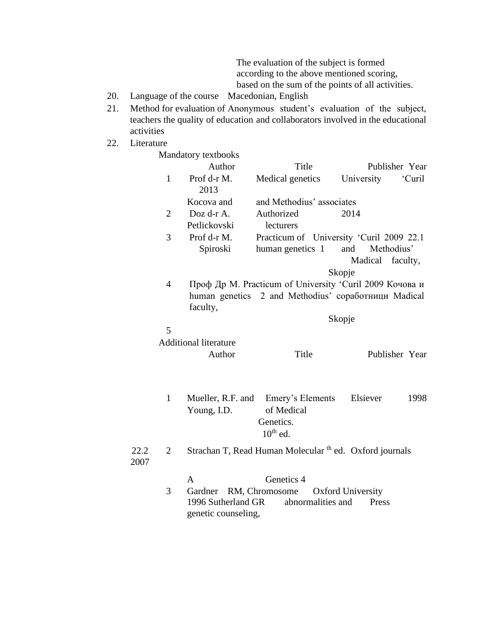The evaluation of the subject is formed according to the above mentioned scoring, based on the sum of the points of all activities.

- 20. Language of the course Macedonian, English
- 21. Method for evaluation of Anonymous student's evaluation of the subject, teachers the quality of education and collaborators involved in the educational activities
- 22. Literature

|              |                | Mandatory textbooks          |                                                                    |                                                         |  |  |  |
|--------------|----------------|------------------------------|--------------------------------------------------------------------|---------------------------------------------------------|--|--|--|
|              |                | Author                       | Title                                                              | Publisher Year                                          |  |  |  |
|              | $\mathbf{1}$   | Prof d-r M.<br>2013          | Medical genetics                                                   | University<br>'Curil                                    |  |  |  |
|              |                | Kocova and                   | and Methodius' associates                                          |                                                         |  |  |  |
|              | $\overline{2}$ | Doz d-r A.                   | Authorized                                                         | 2014                                                    |  |  |  |
|              |                | Petlickovski                 | lecturers                                                          |                                                         |  |  |  |
|              | 3              | Prof d-r M.                  |                                                                    | Practicum of University 'Curil 2009 22.1                |  |  |  |
|              |                | Spiroski                     | human genetics 1                                                   | Methodius'<br>and                                       |  |  |  |
|              |                |                              |                                                                    | Madical faculty,                                        |  |  |  |
|              |                |                              |                                                                    | Skopje                                                  |  |  |  |
|              | $\overline{4}$ |                              |                                                                    | Проф Др М. Practicum of University 'Curil 2009 Кочова и |  |  |  |
|              |                | faculty,                     |                                                                    | human genetics 2 and Methodius' соработници Madical     |  |  |  |
|              |                | Skopje                       |                                                                    |                                                         |  |  |  |
|              | 5              |                              |                                                                    |                                                         |  |  |  |
|              |                | <b>Additional literature</b> |                                                                    |                                                         |  |  |  |
|              |                | Author                       | Title                                                              | Publisher Year                                          |  |  |  |
|              |                |                              |                                                                    |                                                         |  |  |  |
|              | $\mathbf{1}$   | Mueller, R.F. and            | Emery's Elements                                                   | Elsiever<br>1998                                        |  |  |  |
|              |                | Young, I.D.                  | of Medical                                                         |                                                         |  |  |  |
|              |                |                              | Genetics.                                                          |                                                         |  |  |  |
|              |                |                              | $10^{th}$ ed.                                                      |                                                         |  |  |  |
|              |                |                              |                                                                    |                                                         |  |  |  |
| 22.2<br>2007 | $\overline{2}$ |                              | Strachan T, Read Human Molecular <sup>th</sup> ed. Oxford journals |                                                         |  |  |  |
|              |                | A                            | Genetics 4                                                         |                                                         |  |  |  |
|              | 3              | Gardner RM, Chromosome       |                                                                    | <b>Oxford University</b>                                |  |  |  |
|              |                | 1996 Sutherland GR           | abnormalities and                                                  | Press                                                   |  |  |  |
|              |                | genetic counseling,          |                                                                    |                                                         |  |  |  |